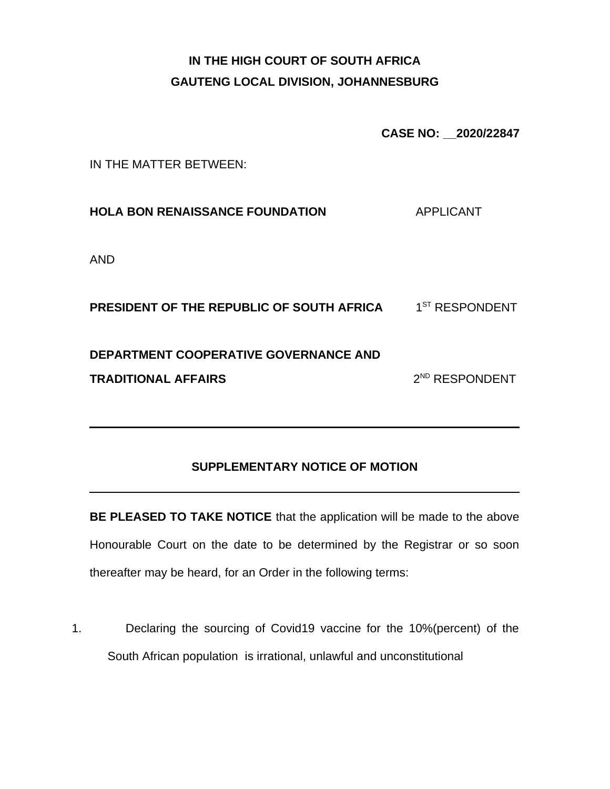# **IN THE HIGH COURT OF SOUTH AFRICA GAUTENG LOCAL DIVISION, JOHANNESBURG**

**CASE NO: \_\_2020/22847**

IN THE MATTER BETWEEN:

**HOLA BON RENAISSANCE FOUNDATION** APPLICANT

AND

**PRESIDENT OF THE REPUBLIC OF SOUTH AFRICA**  $1^{ST}$  **RESPONDENT DEPARTMENT COOPERATIVE GOVERNANCE AND TRADITIONAL AFFAIRS** 2  $2^{ND}$  RESPONDENT

#### **SUPPLEMENTARY NOTICE OF MOTION**

**BE PLEASED TO TAKE NOTICE** that the application will be made to the above Honourable Court on the date to be determined by the Registrar or so soon thereafter may be heard, for an Order in the following terms:

1. Declaring the sourcing of Covid19 vaccine for the 10%(percent) of the South African population is irrational, unlawful and unconstitutional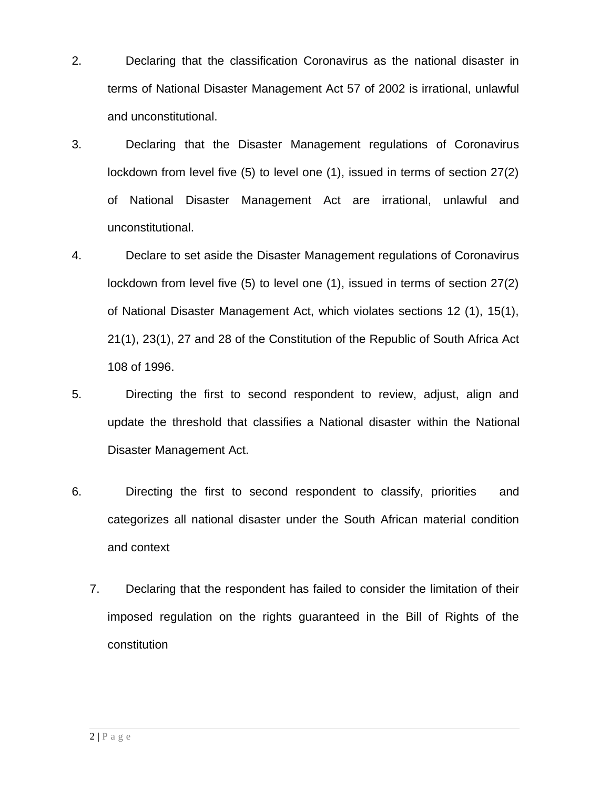- 2. Declaring that the classification Coronavirus as the national disaster in terms of National Disaster Management Act 57 of 2002 is irrational, unlawful and unconstitutional.
- 3. Declaring that the Disaster Management regulations of Coronavirus lockdown from level five (5) to level one (1), issued in terms of section 27(2) of National Disaster Management Act are irrational, unlawful and unconstitutional.
- 4. Declare to set aside the Disaster Management regulations of Coronavirus lockdown from level five (5) to level one (1), issued in terms of section 27(2) of National Disaster Management Act, which violates sections 12 (1), 15(1), 21(1), 23(1), 27 and 28 of the Constitution of the Republic of South Africa Act 108 of 1996.
- 5. Directing the first to second respondent to review, adjust, align and update the threshold that classifies a National disaster within the National Disaster Management Act.
- 6. Directing the first to second respondent to classify, priorities and categorizes all national disaster under the South African material condition and context
	- 7. Declaring that the respondent has failed to consider the limitation of their imposed regulation on the rights guaranteed in the Bill of Rights of the constitution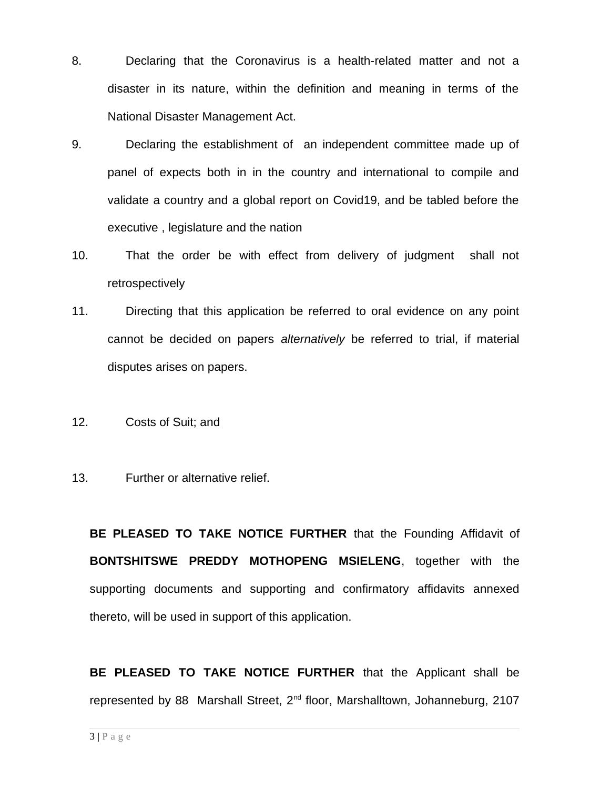- 8. Declaring that the Coronavirus is a health-related matter and not a disaster in its nature, within the definition and meaning in terms of the National Disaster Management Act.
- 9. Declaring the establishment of an independent committee made up of panel of expects both in in the country and international to compile and validate a country and a global report on Covid19, and be tabled before the executive , legislature and the nation
- 10. That the order be with effect from delivery of judgment shall not retrospectively
- 11. Directing that this application be referred to oral evidence on any point cannot be decided on papers *alternatively* be referred to trial, if material disputes arises on papers.
- 12. Costs of Suit; and
- 13. Further or alternative relief.

**BE PLEASED TO TAKE NOTICE FURTHER** that the Founding Affidavit of **BONTSHITSWE PREDDY MOTHOPENG MSIELENG**, together with the supporting documents and supporting and confirmatory affidavits annexed thereto, will be used in support of this application.

**BE PLEASED TO TAKE NOTICE FURTHER** that the Applicant shall be represented by 88 Marshall Street, 2<sup>nd</sup> floor, Marshalltown, Johanneburg, 2107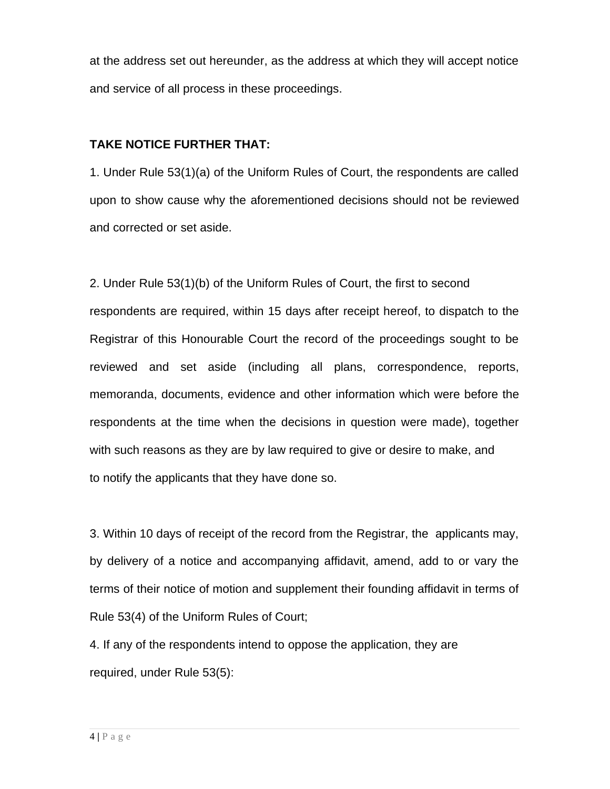at the address set out hereunder, as the address at which they will accept notice and service of all process in these proceedings.

#### **TAKE NOTICE FURTHER THAT:**

1. Under Rule 53(1)(a) of the Uniform Rules of Court, the respondents are called upon to show cause why the aforementioned decisions should not be reviewed and corrected or set aside.

2. Under Rule 53(1)(b) of the Uniform Rules of Court, the first to second respondents are required, within 15 days after receipt hereof, to dispatch to the Registrar of this Honourable Court the record of the proceedings sought to be reviewed and set aside (including all plans, correspondence, reports, memoranda, documents, evidence and other information which were before the respondents at the time when the decisions in question were made), together with such reasons as they are by law required to give or desire to make, and to notify the applicants that they have done so.

3. Within 10 days of receipt of the record from the Registrar, the applicants may, by delivery of a notice and accompanying affidavit, amend, add to or vary the terms of their notice of motion and supplement their founding affidavit in terms of Rule 53(4) of the Uniform Rules of Court;

4. If any of the respondents intend to oppose the application, they are required, under Rule 53(5):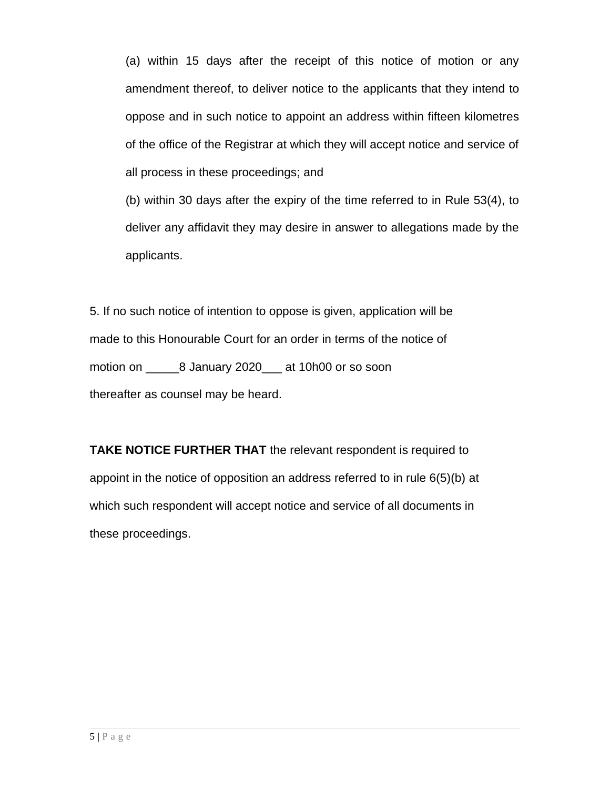(a) within 15 days after the receipt of this notice of motion or any amendment thereof, to deliver notice to the applicants that they intend to oppose and in such notice to appoint an address within fifteen kilometres of the office of the Registrar at which they will accept notice and service of all process in these proceedings; and

(b) within 30 days after the expiry of the time referred to in Rule 53(4), to deliver any affidavit they may desire in answer to allegations made by the applicants.

5. If no such notice of intention to oppose is given, application will be made to this Honourable Court for an order in terms of the notice of motion on and a January 2020 at 10h00 or so soon thereafter as counsel may be heard.

**TAKE NOTICE FURTHER THAT** the relevant respondent is required to appoint in the notice of opposition an address referred to in rule 6(5)(b) at which such respondent will accept notice and service of all documents in these proceedings.